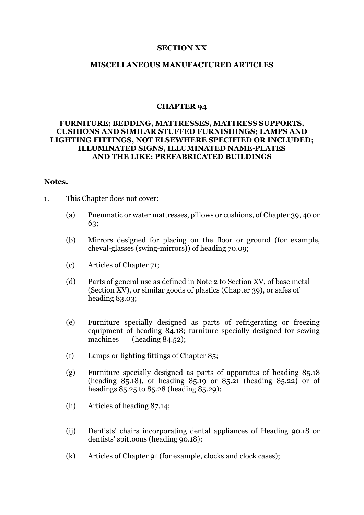#### **SECTION XX**

### **MISCELLANEOUS MANUFACTURED ARTICLES**

#### **CHAPTER 94**

## **FURNITURE; BEDDING, MATTRESSES, MATTRESS SUPPORTS, CUSHIONS AND SIMILAR STUFFED FURNISHINGS; LAMPS AND LIGHTING FITTINGS, NOT ELSEWHERE SPECIFIED OR INCLUDED; ILLUMINATED SIGNS, ILLUMINATED NAME-PLATES AND THE LIKE; PREFABRICATED BUILDINGS**

#### **Notes.**

- 1. This Chapter does not cover:
	- (a) Pneumatic or water mattresses, pillows or cushions, of Chapter 39, 40 or 63;
	- (b) Mirrors designed for placing on the floor or ground (for example, cheval-glasses (swing-mirrors)) of heading 70.09;
	- (c) Articles of Chapter 71;
	- (d) Parts of general use as defined in Note 2 to Section XV, of base metal (Section XV), or similar goods of plastics (Chapter 39), or safes of heading 83.03;
	- (e) Furniture specially designed as parts of refrigerating or freezing equipment of heading 84.18; furniture specially designed for sewing machines (heading 84.52);
	- (f) Lamps or lighting fittings of Chapter 85;
	- (g) Furniture specially designed as parts of apparatus of heading 85.18 (heading  $85.18$ ), of heading  $85.19$  or  $85.21$  (heading  $85.22$ ) or of headings 85.25 to 85.28 (heading 85.29);
	- (h) Articles of heading 87.14;
	- (ij) Dentists' chairs incorporating dental appliances of Heading 90.18 or dentists' spittoons (heading 90.18);
	- (k) Articles of Chapter 91 (for example, clocks and clock cases);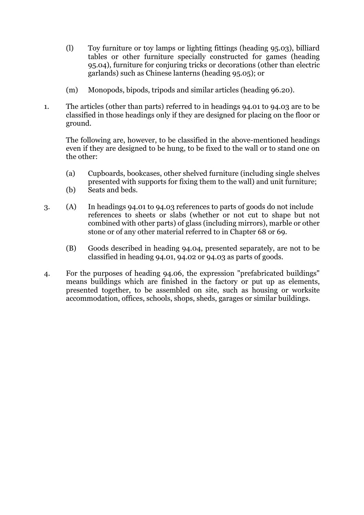- (l) Toy furniture or toy lamps or lighting fittings (heading 95.03), billiard tables or other furniture specially constructed for games (heading 95.04), furniture for conjuring tricks or decorations (other than electric garlands) such as Chinese lanterns (heading 95.05); or
- (m) Monopods, bipods, tripods and similar articles (heading 96.20).
- 1. The articles (other than parts) referred to in headings 94.01 to 94.03 are to be classified in those headings only if they are designed for placing on the floor or ground.

The following are, however, to be classified in the above-mentioned headings even if they are designed to be hung, to be fixed to the wall or to stand one on the other:

- (a) Cupboards, bookcases, other shelved furniture (including single shelves presented with supports for fixing them to the wall) and unit furniture;
- (b) Seats and beds.
- 3. (A) In headings 94.01 to 94.03 references to parts of goods do not include references to sheets or slabs (whether or not cut to shape but not combined with other parts) of glass (including mirrors), marble or other stone or of any other material referred to in Chapter 68 or 69.
	- (B) Goods described in heading 94.04, presented separately, are not to be classified in heading 94.01, 94.02 or 94.03 as parts of goods.
- 4. For the purposes of heading 94.06, the expression "prefabricated buildings" means buildings which are finished in the factory or put up as elements, presented together, to be assembled on site, such as housing or worksite accommodation, offices, schools, shops, sheds, garages or similar buildings.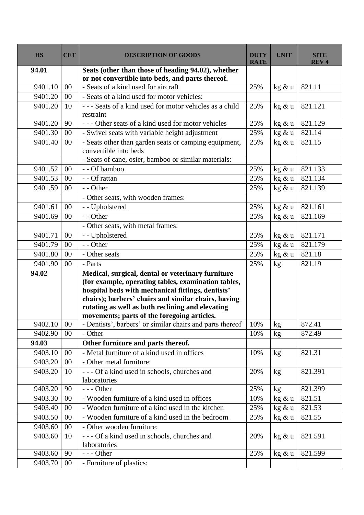| <b>HS</b> | <b>CET</b> | <b>DESCRIPTION OF GOODS</b>                                                    | <b>DUTY</b><br><b>RATE</b> | <b>UNIT</b>     | <b>SITC</b><br><b>REV4</b> |
|-----------|------------|--------------------------------------------------------------------------------|----------------------------|-----------------|----------------------------|
| 94.01     |            | Seats (other than those of heading 94.02), whether                             |                            |                 |                            |
|           |            | or not convertible into beds, and parts thereof.                               |                            |                 |                            |
| 9401.10   | 00         | - Seats of a kind used for aircraft                                            | 25%                        | kg & u          | 821.11                     |
| 9401.20   | 00         | - Seats of a kind used for motor vehicles:                                     |                            |                 |                            |
| 9401.20   | 10         | --- Seats of a kind used for motor vehicles as a child<br>restraint            | 25%                        | kg & u          | 821.121                    |
| 9401.20   | 90         | --- Other seats of a kind used for motor vehicles                              | 25%                        | kg & u          | 821.129                    |
| 9401.30   | 00         | - Swivel seats with variable height adjustment                                 | 25%                        | kg & u          | 821.14                     |
| 9401.40   | 00         | - Seats other than garden seats or camping equipment,<br>convertible into beds | 25%                        | kg & u          | 821.15                     |
|           |            | - Seats of cane, osier, bamboo or similar materials:                           |                            |                 |                            |
| 9401.52   | 00         | - - Of bamboo                                                                  | 25%                        | kg & u          | 821.133                    |
| 9401.53   | 00         | - - Of rattan                                                                  | 25%                        | $\text{kg}$ & u | 821.134                    |
| 9401.59   | 00         | - - Other                                                                      | 25%                        | kg & u          | 821.139                    |
|           |            | - Other seats, with wooden frames:                                             |                            |                 |                            |
| 9401.61   | 00         | - - Upholstered                                                                | 25%                        | kg & u          | 821.161                    |
| 9401.69   | 00         | - - Other                                                                      | 25%                        | kg & u          | 821.169                    |
|           |            | - Other seats, with metal frames:                                              |                            |                 |                            |
| 9401.71   | 00         | - - Upholstered                                                                | 25%                        | kg & u          | 821.171                    |
| 9401.79   | $00\,$     | - - Other                                                                      | 25%                        | kg & u          | 821.179                    |
| 9401.80   | 00         | - Other seats                                                                  | 25%                        | $\text{kg}$ & u | 821.18                     |
| 9401.90   | 00         | - Parts                                                                        | 25%                        | $\mathrm{kg}$   | 821.19                     |
| 94.02     |            | Medical, surgical, dental or veterinary furniture                              |                            |                 |                            |
|           |            | (for example, operating tables, examination tables,                            |                            |                 |                            |
|           |            | hospital beds with mechanical fittings, dentists'                              |                            |                 |                            |
|           |            | chairs); barbers' chairs and similar chairs, having                            |                            |                 |                            |
|           |            | rotating as well as both reclining and elevating                               |                            |                 |                            |
|           |            | movements; parts of the foregoing articles.                                    |                            |                 |                            |
| 9402.10   | $00\,$     | - Dentists', barbers' or similar chairs and parts thereof                      | 10%                        | kg              | 872.41                     |
| 9402.90   | 00         | - Other                                                                        | 10%                        | kg              | 872.49                     |
| 94.03     |            | Other furniture and parts thereof.                                             |                            |                 |                            |
| 9403.10   | 00         | - Metal furniture of a kind used in offices                                    | 10%                        | $\rm kg$        | 821.31                     |
| 9403.20   | 00         | - Other metal furniture:                                                       |                            |                 |                            |
| 9403.20   | 10         | --- Of a kind used in schools, churches and                                    | 20%                        | kg              | 821.391                    |
|           |            | laboratories                                                                   |                            |                 |                            |
| 9403.20   | 90         | $--$ Other                                                                     | 25%                        | kg              | 821.399                    |
| 9403.30   | 00         | - Wooden furniture of a kind used in offices                                   | 10%                        | kg & u          | 821.51                     |
| 9403.40   | 00         | - Wooden furniture of a kind used in the kitchen                               | 25%                        | kg & u          | 821.53                     |
| 9403.50   | 00         | - Wooden furniture of a kind used in the bedroom                               | 25%                        | kg & u          | 821.55                     |
| 9403.60   | 00         | - Other wooden furniture:                                                      |                            |                 |                            |
| 9403.60   | 10         | --- Of a kind used in schools, churches and<br>laboratories                    | 20%                        | kg & u          | 821.591                    |
| 9403.60   | 90         | $--$ Other                                                                     | 25%                        | kg & u          | 821.599                    |
| 9403.70   | $00\,$     | - Furniture of plastics:                                                       |                            |                 |                            |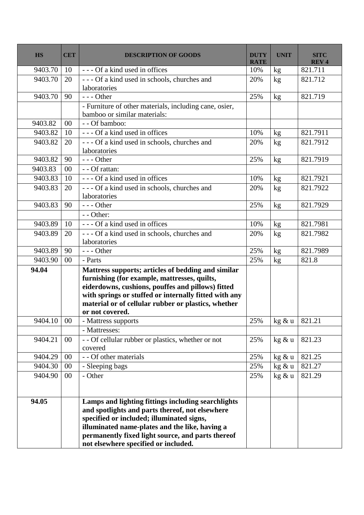| <b>HS</b> | <b>CET</b> | <b>DESCRIPTION OF GOODS</b>                                                                                                                                                                                                                                                                       | <b>DUTY</b><br><b>RATE</b> | <b>UNIT</b> | <b>SITC</b><br><b>REV4</b> |
|-----------|------------|---------------------------------------------------------------------------------------------------------------------------------------------------------------------------------------------------------------------------------------------------------------------------------------------------|----------------------------|-------------|----------------------------|
| 9403.70   | 10         | --- Of a kind used in offices                                                                                                                                                                                                                                                                     | 10%                        | kg          | 821.711                    |
| 9403.70   | 20         | --- Of a kind used in schools, churches and<br>laboratories                                                                                                                                                                                                                                       | 20%                        | kg          | 821.712                    |
| 9403.70   | 90         | $--$ Other                                                                                                                                                                                                                                                                                        | 25%                        | kg          | 821.719                    |
|           |            | - Furniture of other materials, including cane, osier,<br>bamboo or similar materials:                                                                                                                                                                                                            |                            |             |                            |
| 9403.82   | 00         | - - Of bamboo:                                                                                                                                                                                                                                                                                    |                            |             |                            |
| 9403.82   | 10         | --- Of a kind used in offices                                                                                                                                                                                                                                                                     | 10%                        | kg          | 821.7911                   |
| 9403.82   | 20         | --- Of a kind used in schools, churches and<br>laboratories                                                                                                                                                                                                                                       | 20%                        | kg          | 821.7912                   |
| 9403.82   | 90         | $--$ Other                                                                                                                                                                                                                                                                                        | 25%                        | kg          | 821.7919                   |
| 9403.83   | 00         | - - Of rattan:                                                                                                                                                                                                                                                                                    |                            |             |                            |
| 9403.83   | 10         | --- Of a kind used in offices                                                                                                                                                                                                                                                                     | 10%                        | kg          | 821.7921                   |
| 9403.83   | 20         | --- Of a kind used in schools, churches and<br>laboratories                                                                                                                                                                                                                                       | 20%                        | kg          | 821.7922                   |
| 9403.83   | 90         | $--$ Other                                                                                                                                                                                                                                                                                        | 25%                        | kg          | 821.7929                   |
|           |            | $-$ - Other:                                                                                                                                                                                                                                                                                      |                            |             |                            |
| 9403.89   | 10         | --- Of a kind used in offices                                                                                                                                                                                                                                                                     | 10%                        | kg          | 821.7981                   |
| 9403.89   | 20         | --- Of a kind used in schools, churches and<br>laboratories                                                                                                                                                                                                                                       | 20%                        | kg          | 821.7982                   |
| 9403.89   | 90         | $--$ Other                                                                                                                                                                                                                                                                                        | 25%                        | kg          | 821.7989                   |
| 9403.90   | 00         | - Parts                                                                                                                                                                                                                                                                                           | 25%                        | kg          | 821.8                      |
| 94.04     |            | Mattress supports; articles of bedding and similar<br>furnishing (for example, mattresses, quilts,<br>eiderdowns, cushions, pouffes and pillows) fitted<br>with springs or stuffed or internally fitted with any<br>material or of cellular rubber or plastics, whether<br>or not covered.        |                            |             |                            |
| 9404.10   | $00\,$     | - Mattress supports                                                                                                                                                                                                                                                                               | 25%                        | kg & u      | 821.21                     |
|           |            | - Mattresses:                                                                                                                                                                                                                                                                                     |                            |             |                            |
| 9404.21   | $00\,$     | - - Of cellular rubber or plastics, whether or not<br>covered                                                                                                                                                                                                                                     | 25%                        | kg & u      | 821.23                     |
| 9404.29   | $00\,$     | - - Of other materials                                                                                                                                                                                                                                                                            | 25%                        | kg & u      | 821.25                     |
| 9404.30   | $00\,$     | - Sleeping bags                                                                                                                                                                                                                                                                                   | 25%                        | kg & u      | 821.27                     |
| 9404.90   | $00\,$     | - Other                                                                                                                                                                                                                                                                                           | 25%                        | kg & u      | 821.29                     |
| 94.05     |            | Lamps and lighting fittings including searchlights<br>and spotlights and parts thereof, not elsewhere<br>specified or included; illuminated signs,<br>illuminated name-plates and the like, having a<br>permanently fixed light source, and parts thereof<br>not elsewhere specified or included. |                            |             |                            |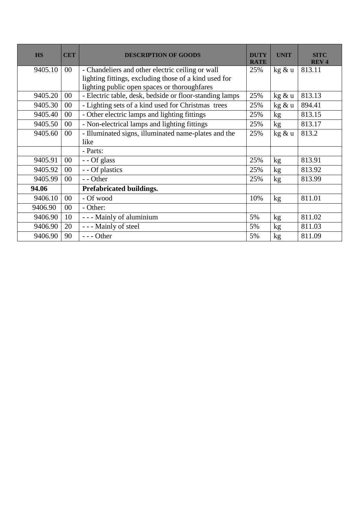| <b>HS</b> | <b>CET</b> | <b>DESCRIPTION OF GOODS</b>                             | <b>DUTY</b><br><b>RATE</b> | <b>UNIT</b>     | <b>SITC</b><br><b>REV4</b> |
|-----------|------------|---------------------------------------------------------|----------------------------|-----------------|----------------------------|
| 9405.10   | $00\,$     | - Chandeliers and other electric ceiling or wall        | 25%                        | kg & u          | 813.11                     |
|           |            | lighting fittings, excluding those of a kind used for   |                            |                 |                            |
|           |            | lighting public open spaces or thoroughfares            |                            |                 |                            |
| 9405.20   | $00\,$     | - Electric table, desk, bedside or floor-standing lamps | 25%                        | kg & u          | 813.13                     |
| 9405.30   | $00\,$     | - Lighting sets of a kind used for Christmas trees      | 25%                        | kg & u          | 894.41                     |
| 9405.40   | $00\,$     | - Other electric lamps and lighting fittings            | 25%                        | kg              | 813.15                     |
| 9405.50   | $00\,$     | - Non-electrical lamps and lighting fittings            | 25%                        | kg <sub>2</sub> | 813.17                     |
| 9405.60   | $00\,$     | - Illuminated signs, illuminated name-plates and the    | 25%                        | kg & u          | 813.2                      |
|           |            | like                                                    |                            |                 |                            |
|           |            | - Parts:                                                |                            |                 |                            |
| 9405.91   | $00\,$     | - - Of glass                                            | 25%                        | kg              | 813.91                     |
| 9405.92   | $00\,$     | - - Of plastics                                         | 25%                        | kg              | 813.92                     |
| 9405.99   | $00\,$     | - - Other                                               | 25%                        | kg              | 813.99                     |
| 94.06     |            | Prefabricated buildings.                                |                            |                 |                            |
| 9406.10   | 00         | - Of wood                                               | 10%                        | kg              | 811.01                     |
| 9406.90   | 00         | - Other:                                                |                            |                 |                            |
| 9406.90   | 10         | - - - Mainly of aluminium                               | 5%                         | kg              | 811.02                     |
| 9406.90   | 20         | - - - Mainly of steel                                   | 5%                         | kg              | 811.03                     |
| 9406.90   | 90         | --- Other                                               | 5%                         | kg              | 811.09                     |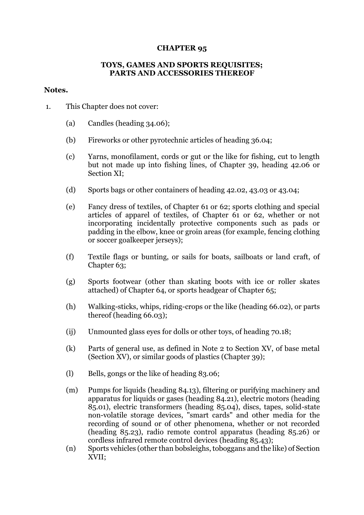## **CHAPTER 95**

## **TOYS, GAMES AND SPORTS REQUISITES; PARTS AND ACCESSORIES THEREOF**

### **Notes.**

- 1. This Chapter does not cover:
	- (a) Candles (heading 34.06);
	- (b) Fireworks or other pyrotechnic articles of heading 36.04;
	- (c) Yarns, monofilament, cords or gut or the like for fishing, cut to length but not made up into fishing lines, of Chapter 39, heading 42.06 or Section XI;
	- (d) Sports bags or other containers of heading 42.02, 43.03 or 43.04;
	- (e) Fancy dress of textiles, of Chapter 61 or 62; sports clothing and special articles of apparel of textiles, of Chapter 61 or 62, whether or not incorporating incidentally protective components such as pads or padding in the elbow, knee or groin areas (for example, fencing clothing or soccer goalkeeper jerseys);
	- (f) Textile flags or bunting, or sails for boats, sailboats or land craft, of Chapter 63;
	- (g) Sports footwear (other than skating boots with ice or roller skates attached) of Chapter 64, or sports headgear of Chapter 65;
	- (h) Walking-sticks, whips, riding-crops or the like (heading 66.02), or parts thereof (heading 66.03);
	- (ij) Unmounted glass eyes for dolls or other toys, of heading 70.18;
	- (k) Parts of general use, as defined in Note 2 to Section XV, of base metal (Section XV), or similar goods of plastics (Chapter 39);
	- (l) Bells, gongs or the like of heading 83.06;
	- (m) Pumps for liquids (heading 84.13), filtering or purifying machinery and apparatus for liquids or gases (heading 84.21), electric motors (heading 85.01), electric transformers (heading 85.04), discs, tapes, solid-state non-volatile storage devices, "smart cards" and other media for the recording of sound or of other phenomena, whether or not recorded (heading 85.23), radio remote control apparatus (heading 85.26) or cordless infrared remote control devices (heading 85.43);
	- (n) Sports vehicles (other than bobsleighs, toboggans and the like) of Section XVII;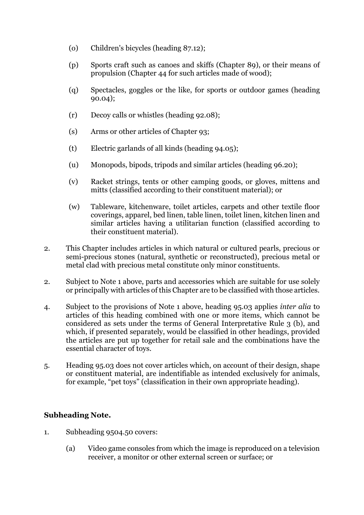- (o) Children's bicycles (heading 87.12);
- (p) Sports craft such as canoes and skiffs (Chapter 89), or their means of propulsion (Chapter 44 for such articles made of wood);
- (q) Spectacles, goggles or the like, for sports or outdoor games (heading 90.04);
- (r) Decoy calls or whistles (heading 92.08);
- (s) Arms or other articles of Chapter 93;
- (t) Electric garlands of all kinds (heading 94.05);
- (u) Monopods, bipods, tripods and similar articles (heading 96.20);
- (v) Racket strings, tents or other camping goods, or gloves, mittens and mitts (classified according to their constituent material); or
- (w) Tableware, kitchenware, toilet articles, carpets and other textile floor coverings, apparel, bed linen, table linen, toilet linen, kitchen linen and similar articles having a utilitarian function (classified according to their constituent material).
- 2. This Chapter includes articles in which natural or cultured pearls, precious or semi-precious stones (natural, synthetic or reconstructed), precious metal or metal clad with precious metal constitute only minor constituents.
- 2. Subject to Note 1 above, parts and accessories which are suitable for use solely or principally with articles of this Chapter are to be classified with those articles.
- 4. Subject to the provisions of Note 1 above, heading 95.03 applies *inter alia* to articles of this heading combined with one or more items, which cannot be considered as sets under the terms of General Interpretative Rule 3 (b), and which, if presented separately, would be classified in other headings, provided the articles are put up together for retail sale and the combinations have the essential character of toys.
- 5. Heading 95.03 does not cover articles which, on account of their design, shape or constituent material, are indentifiable as intended exclusively for animals, for example, "pet toys" (classification in their own appropriate heading).

# **Subheading Note.**

- 1. Subheading 9504.50 covers:
	- (a) Video game consoles from which the image is reproduced on a television receiver, a monitor or other external screen or surface; or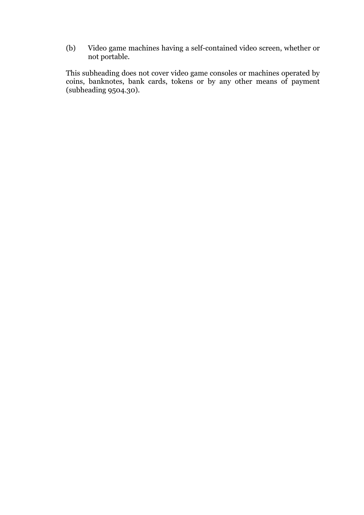(b) Video game machines having a self-contained video screen, whether or not portable.

This subheading does not cover video game consoles or machines operated by coins, banknotes, bank cards, tokens or by any other means of payment (subheading 9504.30).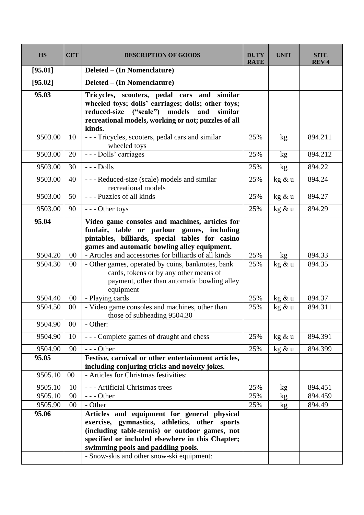| <b>HS</b> | <b>CET</b> | <b>DESCRIPTION OF GOODS</b>                                                                                                                                                                                                              | <b>DUTY</b><br><b>RATE</b> | <b>UNIT</b> | <b>SITC</b><br><b>REV4</b> |
|-----------|------------|------------------------------------------------------------------------------------------------------------------------------------------------------------------------------------------------------------------------------------------|----------------------------|-------------|----------------------------|
| [95.01]   |            | Deleted – (In Nomenclature)                                                                                                                                                                                                              |                            |             |                            |
| [95.02]   |            | Deleted – (In Nomenclature)                                                                                                                                                                                                              |                            |             |                            |
| 95.03     |            | Tricycles, scooters, pedal cars and similar<br>wheeled toys; dolls' carriages; dolls; other toys;<br>reduced-size ("scale") models<br>and<br>similar<br>recreational models, working or not; puzzles of all<br>kinds.                    |                            |             |                            |
| 9503.00   | 10         | --- Tricycles, scooters, pedal cars and similar<br>wheeled toys                                                                                                                                                                          | 25%                        | kg          | 894.211                    |
| 9503.00   | 20         | --- Dolls' carriages                                                                                                                                                                                                                     | 25%                        | kg          | 894.212                    |
| 9503.00   | 30         | $--$ Dolls                                                                                                                                                                                                                               | 25%                        | kg          | 894.22                     |
| 9503.00   | 40         | --- Reduced-size (scale) models and similar<br>recreational models                                                                                                                                                                       | 25%                        | kg & u      | 894.24                     |
| 9503.00   | 50         | --- Puzzles of all kinds                                                                                                                                                                                                                 | 25%                        | kg & u      | 894.27                     |
| 9503.00   | 90         | --- Other toys                                                                                                                                                                                                                           | 25%                        | kg & u      | 894.29                     |
| 95.04     |            | Video game consoles and machines, articles for<br>funfair, table or parlour games, including<br>pintables, billiards, special tables for casino<br>games and automatic bowling alley equipment.                                          |                            |             |                            |
| 9504.20   | 00         | - Articles and accessories for billiards of all kinds                                                                                                                                                                                    | 25%                        | kg          | 894.33                     |
| 9504.30   | 00         | - Other games, operated by coins, banknotes, bank<br>cards, tokens or by any other means of<br>payment, other than automatic bowling alley<br>equipment                                                                                  | 25%                        | kg & u      | 894.35                     |
| 9504.40   | 00         | - Playing cards                                                                                                                                                                                                                          | 25%                        | kg & u      | 894.37                     |
| 9504.50   | $00\,$     | - Video game consoles and machines, other than<br>those of subheading 9504.30                                                                                                                                                            | 25%                        | kg & u      | 894.311                    |
| 9504.90   | $00\,$     | - Other:                                                                                                                                                                                                                                 |                            |             |                            |
| 9504.90   | 10         | --- Complete games of draught and chess                                                                                                                                                                                                  | 25%                        | kg & u      | 894.391                    |
| 9504.90   | 90         | $--$ Other                                                                                                                                                                                                                               | 25%                        | kg & u      | 894.399                    |
| 95.05     |            | Festive, carnival or other entertainment articles,<br>including conjuring tricks and novelty jokes.                                                                                                                                      |                            |             |                            |
| 9505.10   | 00         | - Articles for Christmas festivities:                                                                                                                                                                                                    |                            |             |                            |
| 9505.10   | 10         | --- Artificial Christmas trees                                                                                                                                                                                                           | 25%                        | kg          | 894.451                    |
| 9505.10   | 90         | $--$ Other                                                                                                                                                                                                                               | 25%                        | kg          | 894.459                    |
| 9505.90   | 00         | - Other                                                                                                                                                                                                                                  | 25%                        | kg          | 894.49                     |
| 95.06     |            | Articles and equipment for general physical<br>exercise, gymnastics, athletics, other sports<br>(including table-tennis) or outdoor games, not<br>specified or included elsewhere in this Chapter;<br>swimming pools and paddling pools. |                            |             |                            |
|           |            | - Snow-skis and other snow-ski equipment:                                                                                                                                                                                                |                            |             |                            |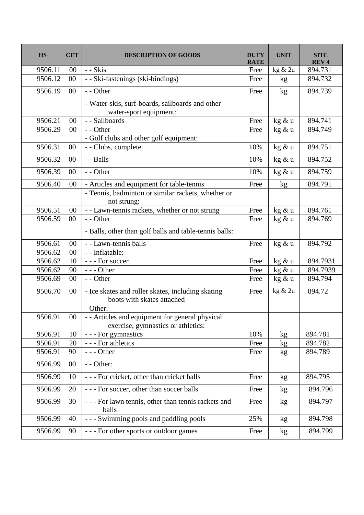| <b>HS</b> | <b>CET</b> | <b>DESCRIPTION OF GOODS</b>                                                           | <b>DUTY</b><br><b>RATE</b> | <b>UNIT</b>     | <b>SITC</b><br><b>REV4</b> |
|-----------|------------|---------------------------------------------------------------------------------------|----------------------------|-----------------|----------------------------|
| 9506.11   | 00         | - - Skis                                                                              | Free                       | kg & 2u         | 894.731                    |
| 9506.12   | 00         | - - Ski-fastenings (ski-bindings)                                                     | Free                       | kg              | 894.732                    |
| 9506.19   | 00         | - - Other                                                                             | Free                       | kg              | 894.739                    |
|           |            | - Water-skis, surf-boards, sailboards and other<br>water-sport equipment:             |                            |                 |                            |
| 9506.21   | 00         | - - Sailboards                                                                        | Free                       | $\text{kg}$ & u | 894.741                    |
| 9506.29   | 00         | - - Other                                                                             | Free                       | kg & u          | 894.749                    |
|           |            | - Golf clubs and other golf equipment:                                                |                            |                 |                            |
| 9506.31   | 00         | - - Clubs, complete                                                                   | 10%                        | kg & u          | 894.751                    |
| 9506.32   | 00         | - - Balls                                                                             | 10%                        | kg & u          | 894.752                    |
| 9506.39   | 00         | - - Other                                                                             | 10%                        | kg & u          | 894.759                    |
| 9506.40   | 00         | - Articles and equipment for table-tennis                                             | Free                       | kg              | 894.791                    |
|           |            | - Tennis, badminton or similar rackets, whether or<br>not strung:                     |                            |                 |                            |
| 9506.51   | 00         | - - Lawn-tennis rackets, whether or not strung                                        | Free                       | kg & u          | 894.761                    |
| 9506.59   | 00         | - - Other                                                                             | Free                       | kg & u          | 894.769                    |
|           |            | - Balls, other than golf balls and table-tennis balls:                                |                            |                 |                            |
| 9506.61   | 00         | - - Lawn-tennis balls                                                                 | Free                       | kg & u          | 894.792                    |
| 9506.62   | 00         | - - Inflatable:                                                                       |                            |                 |                            |
| 9506.62   | 10         | --- For soccer                                                                        | Free                       | kg & u          | 894.7931                   |
| 9506.62   | 90         | $--$ Other                                                                            | Free                       | kg & u          | 894.7939                   |
| 9506.69   | 00         | - - Other                                                                             | Free                       | kg & u          | 894.794                    |
| 9506.70   | $00\,$     | - Ice skates and roller skates, including skating<br>boots with skates attached       | Free                       | kg & 2u         | 894.72                     |
|           |            | - Other:                                                                              |                            |                 |                            |
| 9506.91   | $00\,$     | - - Articles and equipment for general physical<br>exercise, gymnastics or athletics: |                            |                 |                            |
| 9506.91   | 10         | - - - For gymnastics                                                                  | 10%                        | kg              | 894.781                    |
| 9506.91   | 20         | - - - For athletics                                                                   | Free                       | kg <sub>2</sub> | 894.782                    |
| 9506.91   | 90         | --- Other                                                                             | Free                       | kg              | 894.789                    |
| 9506.99   | 00         | - - Other:                                                                            |                            |                 |                            |
| 9506.99   | 10         | --- For cricket, other than cricket balls                                             | Free                       | kg              | 894.795                    |
| 9506.99   | 20         | --- For soccer, other than soccer balls                                               | Free                       | kg              | 894.796                    |
| 9506.99   | 30         | - - - For lawn tennis, other than tennis rackets and<br>balls                         | Free                       | kg              | 894.797                    |
| 9506.99   | 40         | - - - Swimming pools and paddling pools                                               | 25%                        | kg              | 894.798                    |
| 9506.99   | 90         | --- For other sports or outdoor games                                                 | Free                       | kg              | 894.799                    |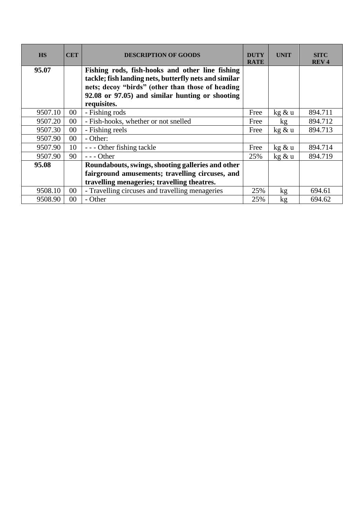| <b>HS</b> | <b>CET</b> | <b>DESCRIPTION OF GOODS</b>                           | <b>DUTY</b><br><b>RATE</b> | <b>UNIT</b> | <b>SITC</b><br><b>REV4</b> |
|-----------|------------|-------------------------------------------------------|----------------------------|-------------|----------------------------|
| 95.07     |            | Fishing rods, fish-hooks and other line fishing       |                            |             |                            |
|           |            | tackle; fish landing nets, butterfly nets and similar |                            |             |                            |
|           |            | nets; decoy "birds" (other than those of heading      |                            |             |                            |
|           |            | 92.08 or 97.05) and similar hunting or shooting       |                            |             |                            |
|           |            | requisites.                                           |                            |             |                            |
| 9507.10   | $00\,$     | - Fishing rods                                        | Free                       | kg & u      | 894.711                    |
| 9507.20   | $00\,$     | - Fish-hooks, whether or not snelled                  | Free                       | kg          | 894.712                    |
| 9507.30   | $00\,$     | - Fishing reels                                       | Free                       | kg & u      | 894.713                    |
| 9507.90   | $00\,$     | - Other:                                              |                            |             |                            |
| 9507.90   | 10         | --- Other fishing tackle                              | Free                       | kg & u      | 894.714                    |
| 9507.90   | 90         | $--$ Other                                            | 25%                        | kg & u      | 894.719                    |
| 95.08     |            | Roundabouts, swings, shooting galleries and other     |                            |             |                            |
|           |            | fairground amusements; travelling circuses, and       |                            |             |                            |
|           |            | travelling menageries; travelling theatres.           |                            |             |                            |
| 9508.10   | $00\,$     | - Travelling circuses and travelling menageries       | 25%                        | kg          | 694.61                     |
| 9508.90   | $00\,$     | - Other                                               | 25%                        | kg          | 694.62                     |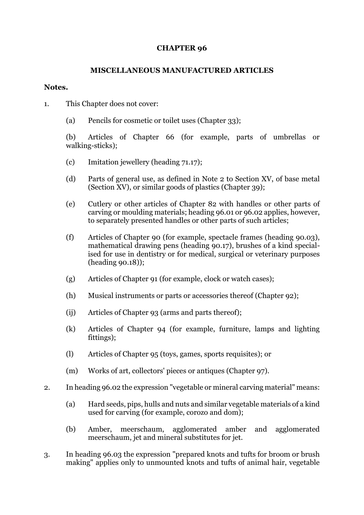# **CHAPTER 96**

# **MISCELLANEOUS MANUFACTURED ARTICLES**

## **Notes.**

- 1. This Chapter does not cover:
	- (a) Pencils for cosmetic or toilet uses (Chapter 33);

(b) Articles of Chapter 66 (for example, parts of umbrellas or walking-sticks);

- (c) Imitation jewellery (heading 71.17);
- (d) Parts of general use, as defined in Note 2 to Section XV, of base metal (Section XV), or similar goods of plastics (Chapter 39);
- (e) Cutlery or other articles of Chapter 82 with handles or other parts of carving or moulding materials; heading 96.01 or 96.02 applies, however, to separately presented handles or other parts of such articles;
- (f) Articles of Chapter 90 (for example, spectacle frames (heading 90.03), mathematical drawing pens (heading 90.17), brushes of a kind specialised for use in dentistry or for medical, surgical or veterinary purposes (heading 90.18));
- (g) Articles of Chapter 91 (for example, clock or watch cases);
- (h) Musical instruments or parts or accessories thereof (Chapter 92);
- (ij) Articles of Chapter 93 (arms and parts thereof);
- (k) Articles of Chapter 94 (for example, furniture, lamps and lighting fittings);
- (l) Articles of Chapter 95 (toys, games, sports requisites); or
- (m) Works of art, collectors' pieces or antiques (Chapter 97).
- 2. In heading 96.02 the expression "vegetable or mineral carving material" means:
	- (a) Hard seeds, pips, hulls and nuts and similar vegetable materials of a kind used for carving (for example, corozo and dom);
	- (b) Amber, meerschaum, agglomerated amber and agglomerated meerschaum, jet and mineral substitutes for jet.
- 3. In heading 96.03 the expression "prepared knots and tufts for broom or brush making" applies only to unmounted knots and tufts of animal hair, vegetable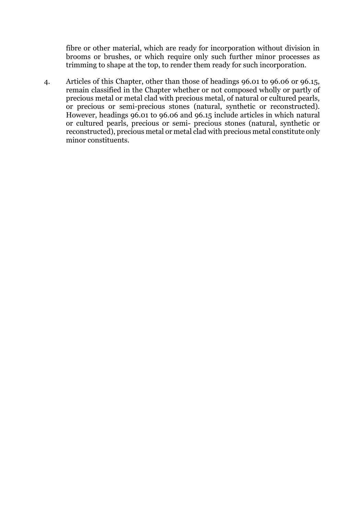fibre or other material, which are ready for incorporation without division in brooms or brushes, or which require only such further minor processes as trimming to shape at the top, to render them ready for such incorporation.

4. Articles of this Chapter, other than those of headings 96.01 to 96.06 or 96.15, remain classified in the Chapter whether or not composed wholly or partly of precious metal or metal clad with precious metal, of natural or cultured pearls, or precious or semi-precious stones (natural, synthetic or reconstructed). However, headings 96.01 to 96.06 and 96.15 include articles in which natural or cultured pearls, precious or semi- precious stones (natural, synthetic or reconstructed), precious metal or metal clad with precious metal constitute only minor constituents.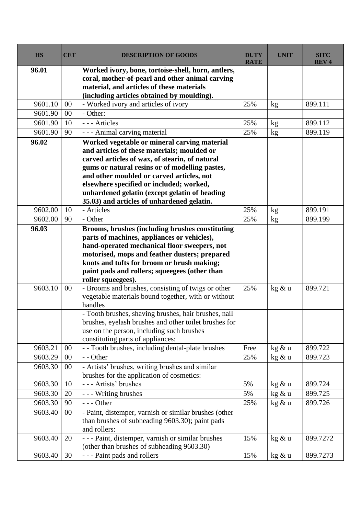| <b>HS</b> | <b>CET</b> | <b>DESCRIPTION OF GOODS</b>                                                                                                                                                                                                                                                                                                                                                             | <b>DUTY</b><br><b>RATE</b> | <b>UNIT</b>     | <b>SITC</b><br><b>REV4</b> |
|-----------|------------|-----------------------------------------------------------------------------------------------------------------------------------------------------------------------------------------------------------------------------------------------------------------------------------------------------------------------------------------------------------------------------------------|----------------------------|-----------------|----------------------------|
| 96.01     |            | Worked ivory, bone, tortoise-shell, horn, antlers,<br>coral, mother-of-pearl and other animal carving<br>material, and articles of these materials<br>(including articles obtained by moulding).                                                                                                                                                                                        |                            |                 |                            |
| 9601.10   | $00\,$     | - Worked ivory and articles of ivory                                                                                                                                                                                                                                                                                                                                                    | 25%                        | kg              | 899.111                    |
| 9601.90   | 00         | - Other:                                                                                                                                                                                                                                                                                                                                                                                |                            |                 |                            |
| 9601.90   | 10         | --- Articles                                                                                                                                                                                                                                                                                                                                                                            | 25%                        | kg              | 899.112                    |
| 9601.90   | 90         | - - - Animal carving material                                                                                                                                                                                                                                                                                                                                                           | 25%                        | kg              | 899.119                    |
| 96.02     |            | Worked vegetable or mineral carving material<br>and articles of these materials; moulded or<br>carved articles of wax, of stearin, of natural<br>gums or natural resins or of modelling pastes,<br>and other moulded or carved articles, not<br>elsewhere specified or included; worked,<br>unhardened gelatin (except gelatin of heading<br>35.03) and articles of unhardened gelatin. |                            |                 |                            |
| 9602.00   | 10         | - Articles                                                                                                                                                                                                                                                                                                                                                                              | 25%                        | kg              | 899.191                    |
| 9602.00   | 90         | - Other                                                                                                                                                                                                                                                                                                                                                                                 | 25%                        | kg              | 899.199                    |
| 96.03     |            | Brooms, brushes (including brushes constituting<br>parts of machines, appliances or vehicles),<br>hand-operated mechanical floor sweepers, not<br>motorised, mops and feather dusters; prepared<br>knots and tufts for broom or brush making;<br>paint pads and rollers; squeegees (other than<br>roller squeegees).                                                                    |                            |                 |                            |
| 9603.10   | 00         | - Brooms and brushes, consisting of twigs or other<br>vegetable materials bound together, with or without<br>handles<br>- Tooth brushes, shaving brushes, hair brushes, nail<br>brushes, eyelash brushes and other toilet brushes for<br>use on the person, including such brushes<br>constituting parts of appliances:                                                                 | 25%                        | kg & u          | 899.721                    |
| 9603.21   | 00         | - - Tooth brushes, including dental-plate brushes                                                                                                                                                                                                                                                                                                                                       | Free                       | kg & u          | 899.722                    |
| 9603.29   | 00         | - - Other                                                                                                                                                                                                                                                                                                                                                                               | 25%                        | $\text{kg}$ & u | 899.723                    |
| 9603.30   | $00\,$     | - Artists' brushes, writing brushes and similar<br>brushes for the application of cosmetics:                                                                                                                                                                                                                                                                                            |                            |                 |                            |
| 9603.30   | 10         | --- Artists' brushes                                                                                                                                                                                                                                                                                                                                                                    | 5%                         | kg & u          | 899.724                    |
| 9603.30   | 20         | - - - Writing brushes                                                                                                                                                                                                                                                                                                                                                                   | 5%                         | kg & u          | 899.725                    |
| 9603.30   | 90         | $--$ Other                                                                                                                                                                                                                                                                                                                                                                              | 25%                        | kg & u          | 899.726                    |
| 9603.40   | 00         | - Paint, distemper, varnish or similar brushes (other<br>than brushes of subheading 9603.30); paint pads<br>and rollers:                                                                                                                                                                                                                                                                |                            |                 |                            |
| 9603.40   | 20         | - - - Paint, distemper, varnish or similar brushes<br>(other than brushes of subheading 9603.30)                                                                                                                                                                                                                                                                                        | 15%                        | kg & u          | 899.7272                   |
| 9603.40   | 30         | - - - Paint pads and rollers                                                                                                                                                                                                                                                                                                                                                            | 15%                        | kg & u          | 899.7273                   |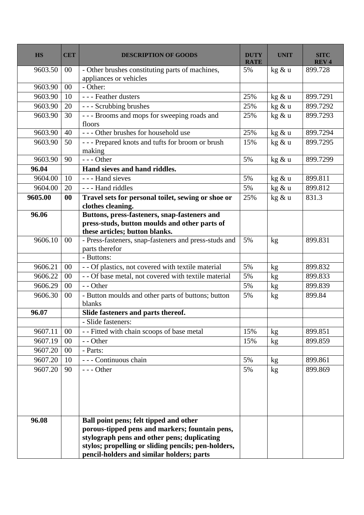| <b>HS</b> | <b>CET</b> | <b>DESCRIPTION OF GOODS</b>                                                                                                                                                                                                                 | <b>DUTY</b><br><b>RATE</b> | <b>UNIT</b> | SITC<br><b>REV4</b> |
|-----------|------------|---------------------------------------------------------------------------------------------------------------------------------------------------------------------------------------------------------------------------------------------|----------------------------|-------------|---------------------|
| 9603.50   | 00         | - Other brushes constituting parts of machines,                                                                                                                                                                                             | 5%                         | kg & u      | 899.728             |
|           |            | appliances or vehicles                                                                                                                                                                                                                      |                            |             |                     |
| 9603.90   | 00         | - Other:                                                                                                                                                                                                                                    |                            |             |                     |
| 9603.90   | 10         | - - - Feather dusters                                                                                                                                                                                                                       | 25%                        | kg & u      | 899.7291            |
| 9603.90   | 20         | --- Scrubbing brushes                                                                                                                                                                                                                       | 25%                        | kg & u      | 899.7292            |
| 9603.90   | 30         | --- Brooms and mops for sweeping roads and<br>floors                                                                                                                                                                                        | 25%                        | kg & u      | 899.7293            |
| 9603.90   | 40         | --- Other brushes for household use                                                                                                                                                                                                         | 25%                        | kg & u      | 899.7294            |
| 9603.90   | 50         | --- Prepared knots and tufts for broom or brush<br>making                                                                                                                                                                                   | 15%                        | kg & u      | 899.7295            |
| 9603.90   | 90         | $--$ Other                                                                                                                                                                                                                                  | 5%                         | kg & u      | 899.7299            |
| 96.04     |            | Hand sieves and hand riddles.                                                                                                                                                                                                               |                            |             |                     |
| 9604.00   | 10         | - - - Hand sieves                                                                                                                                                                                                                           | 5%                         | kg & u      | 899.811             |
| 9604.00   | 20         | --- Hand riddles                                                                                                                                                                                                                            | 5%                         | kg & u      | 899.812             |
| 9605.00   | $\bf{00}$  | Travel sets for personal toilet, sewing or shoe or<br>clothes cleaning.                                                                                                                                                                     | 25%                        | kg & u      | 831.3               |
| 96.06     |            | Buttons, press-fasteners, snap-fasteners and<br>press-studs, button moulds and other parts of<br>these articles; button blanks.                                                                                                             |                            |             |                     |
| 9606.10   | 00         | - Press-fasteners, snap-fasteners and press-studs and<br>parts therefor                                                                                                                                                                     | 5%                         | kg          | 899.831             |
|           |            | - Buttons:                                                                                                                                                                                                                                  |                            |             |                     |
| 9606.21   | $00\,$     | - - Of plastics, not covered with textile material                                                                                                                                                                                          | 5%                         | kg          | 899.832             |
| 9606.22   | 00         | - - Of base metal, not covered with textile material                                                                                                                                                                                        | 5%                         | kg          | 899.833             |
| 9606.29   | 00         | - - Other                                                                                                                                                                                                                                   | 5%                         | kg          | 899.839             |
| 9606.30   | $00\,$     | - Button moulds and other parts of buttons; button<br>blanks                                                                                                                                                                                | 5%                         | kg          | 899.84              |
| 96.07     |            | Slide fasteners and parts thereof.                                                                                                                                                                                                          |                            |             |                     |
|           |            | - Slide fasteners:                                                                                                                                                                                                                          |                            |             |                     |
| 9607.11   | 00         | - - Fitted with chain scoops of base metal                                                                                                                                                                                                  | 15%                        | kg          | 899.851             |
| 9607.19   | 00         | - - Other                                                                                                                                                                                                                                   | 15%                        | kg          | 899.859             |
| 9607.20   | 00         | - Parts:                                                                                                                                                                                                                                    |                            |             |                     |
| 9607.20   | 10         | - - - Continuous chain                                                                                                                                                                                                                      | 5%                         | kg          | 899.861             |
| 9607.20   | 90         | $--$ Other                                                                                                                                                                                                                                  | 5%                         | kg          | 899.869             |
| 96.08     |            | Ball point pens; felt tipped and other<br>porous-tipped pens and markers; fountain pens,<br>stylograph pens and other pens; duplicating<br>stylos; propelling or sliding pencils; pen-holders,<br>pencil-holders and similar holders; parts |                            |             |                     |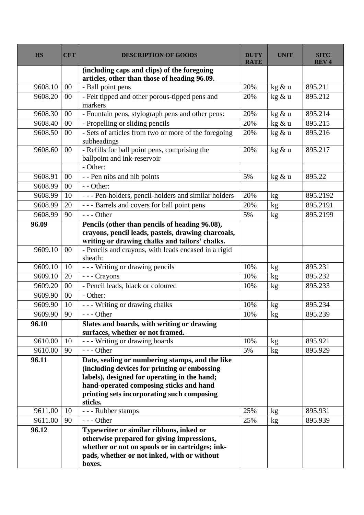| <b>HS</b> | <b>CET</b> | <b>DESCRIPTION OF GOODS</b>                                                             | <b>DUTY</b><br><b>RATE</b> | <b>UNIT</b>   | <b>SITC</b><br><b>REV4</b> |
|-----------|------------|-----------------------------------------------------------------------------------------|----------------------------|---------------|----------------------------|
|           |            | (including caps and clips) of the foregoing                                             |                            |               |                            |
|           |            | articles, other than those of heading 96.09.                                            |                            |               |                            |
| 9608.10   | $00\,$     | - Ball point pens                                                                       | 20%                        | kg & u        | 895.211                    |
| 9608.20   | 00         | - Felt tipped and other porous-tipped pens and                                          | 20%                        | kg & u        | 895.212                    |
|           |            | markers                                                                                 |                            |               |                            |
| 9608.30   | 00         | - Fountain pens, stylograph pens and other pens:                                        | 20%                        | kg & u        | 895.214                    |
| 9608.40   | $00\,$     | - Propelling or sliding pencils                                                         | 20%                        | kg & u        | 895.215                    |
| 9608.50   | 00         | - Sets of articles from two or more of the foregoing<br>subheadings                     | 20%                        | kg & u        | 895.216                    |
| 9608.60   | 00         | - Refills for ball point pens, comprising the<br>ballpoint and ink-reservoir            | 20%                        | kg & u        | 895.217                    |
|           |            | - Other:                                                                                |                            |               |                            |
| 9608.91   | $00\,$     | - - Pen nibs and nib points                                                             | 5%                         | kg & u        | 895.22                     |
| 9608.99   | $00\,$     | - - Other:                                                                              |                            |               |                            |
| 9608.99   | 10         | --- Pen-holders, pencil-holders and similar holders                                     | 20%                        | kg            | 895.2192                   |
| 9608.99   | 20         | --- Barrels and covers for ball point pens                                              | 20%                        | kg            | 895.2191                   |
| 9608.99   | 90         | $--$ Other                                                                              | 5%                         | kg            | 895.2199                   |
| 96.09     |            | Pencils (other than pencils of heading 96.08),                                          |                            |               |                            |
|           |            | crayons, pencil leads, pastels, drawing charcoals,                                      |                            |               |                            |
|           |            | writing or drawing chalks and tailors' chalks.                                          |                            |               |                            |
| 9609.10   | 00         | - Pencils and crayons, with leads encased in a rigid<br>sheath:                         |                            |               |                            |
| 9609.10   | 10         | --- Writing or drawing pencils                                                          | 10%                        | kg            | 895.231                    |
| 9609.10   | 20         | - - - Crayons                                                                           | 10%                        | kg            | 895.232                    |
| 9609.20   | 00         | - Pencil leads, black or coloured                                                       | 10%                        | kg            | 895.233                    |
| 9609.90   | 00         | - Other:                                                                                |                            |               |                            |
| 9609.90   | 10         | --- Writing or drawing chalks                                                           | 10%                        | $\mathrm{kg}$ | 895.234                    |
| 9609.90   | 90         | --- Other                                                                               | 10%                        | kg            | 895.239                    |
| 96.10     |            | Slates and boards, with writing or drawing                                              |                            |               |                            |
|           |            | surfaces, whether or not framed.                                                        |                            |               |                            |
| 9610.00   | 10         | --- Writing or drawing boards                                                           | 10%                        | kg            | 895.921                    |
| 9610.00   | 90         | $--$ Other                                                                              | 5%                         | kg            | 895.929                    |
| 96.11     |            | Date, sealing or numbering stamps, and the like                                         |                            |               |                            |
|           |            | (including devices for printing or embossing                                            |                            |               |                            |
|           |            | labels), designed for operating in the hand;<br>hand-operated composing sticks and hand |                            |               |                            |
|           |            | printing sets incorporating such composing                                              |                            |               |                            |
|           |            | sticks.                                                                                 |                            |               |                            |
| 9611.00   | 10         | - - - Rubber stamps                                                                     | 25%                        | kg            | 895.931                    |
| 9611.00   | 90         | $--$ Other                                                                              | 25%                        | kg            | 895.939                    |
| 96.12     |            | Typewriter or similar ribbons, inked or                                                 |                            |               |                            |
|           |            | otherwise prepared for giving impressions,                                              |                            |               |                            |
|           |            | whether or not on spools or in cartridges; ink-                                         |                            |               |                            |
|           |            | pads, whether or not inked, with or without                                             |                            |               |                            |
|           |            | boxes.                                                                                  |                            |               |                            |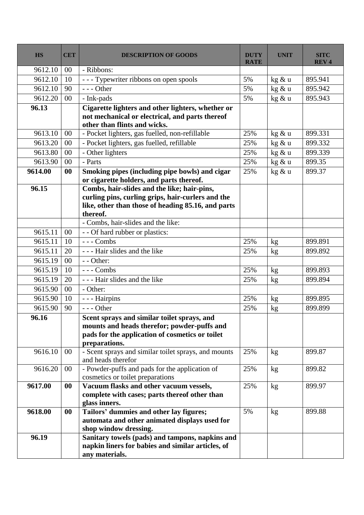| <b>HS</b>          | <b>CET</b> | <b>DESCRIPTION OF GOODS</b>                                                     | <b>DUTY</b><br><b>RATE</b> | <b>UNIT</b> | <b>SITC</b><br><b>REV4</b> |
|--------------------|------------|---------------------------------------------------------------------------------|----------------------------|-------------|----------------------------|
| 9612.10            | 00         | - Ribbons:                                                                      |                            |             |                            |
| 9612.10            | 10         | --- Typewriter ribbons on open spools                                           | 5%                         | kg & u      | 895.941                    |
| 9612.10            | 90         | $--$ Other                                                                      | 5%                         | kg & u      | 895.942                    |
| 9612.20            | 00         | - Ink-pads                                                                      | 5%                         | kg & u      | 895.943                    |
| 96.13              |            | Cigarette lighters and other lighters, whether or                               |                            |             |                            |
|                    |            | not mechanical or electrical, and parts thereof<br>other than flints and wicks. |                            |             |                            |
| 9613.10            | 00         | - Pocket lighters, gas fuelled, non-refillable                                  | 25%                        | kg & u      | 899.331                    |
| 9613.20            | $00\,$     | - Pocket lighters, gas fuelled, refillable                                      | 25%                        | kg & u      | 899.332                    |
| 9613.80            | 00         | - Other lighters                                                                | 25%                        | kg & u      | 899.339                    |
| 9613.90            | 00         | - Parts                                                                         | 25%                        | kg & u      | 899.35                     |
| 9614.00            | 00         | Smoking pipes (including pipe bowls) and cigar                                  | 25%                        | kg & u      | 899.37                     |
|                    |            | or cigarette holders, and parts thereof.                                        |                            |             |                            |
| 96.15              |            | Combs, hair-slides and the like; hair-pins,                                     |                            |             |                            |
|                    |            | curling pins, curling grips, hair-curlers and the                               |                            |             |                            |
|                    |            | like, other than those of heading 85.16, and parts                              |                            |             |                            |
|                    |            | thereof.                                                                        |                            |             |                            |
| 9615.11            | 00         | - Combs, hair-slides and the like:                                              |                            |             |                            |
|                    |            | - - Of hard rubber or plastics:<br>$--$ Combs                                   |                            |             |                            |
| 9615.11<br>9615.11 | 10<br>20   | - - - Hair slides and the like                                                  | 25%<br>25%                 | kg          | 899.891<br>899.892         |
| 9615.19            | 00         | - - Other:                                                                      |                            | kg          |                            |
| 9615.19            | 10         | --- Combs                                                                       | 25%                        |             | 899.893                    |
| 9615.19            | 20         | - - - Hair slides and the like                                                  | 25%                        | kg          | 899.894                    |
| 9615.90            | $00\,$     | - Other:                                                                        |                            | kg          |                            |
| 9615.90            | 10         | - - - Hairpins                                                                  | 25%                        | kg          | 899.895                    |
| 9615.90            | 90         | $--$ Other                                                                      | 25%                        |             | 899.899                    |
| 96.16              |            | Scent sprays and similar toilet sprays, and                                     |                            | kg          |                            |
|                    |            | mounts and heads therefor; powder-puffs and                                     |                            |             |                            |
|                    |            | pads for the application of cosmetics or toilet                                 |                            |             |                            |
|                    |            | preparations.                                                                   |                            |             |                            |
| 9616.10            | $00\,$     | - Scent sprays and similar toilet sprays, and mounts<br>and heads therefor      | 25%                        | kg          | 899.87                     |
| 9616.20            | $00\,$     | - Powder-puffs and pads for the application of                                  | 25%                        | kg          | 899.82                     |
|                    |            | cosmetics or toilet preparations                                                |                            |             |                            |
| 9617.00            | $\bf{00}$  | Vacuum flasks and other vacuum vessels,                                         | 25%                        | kg          | 899.97                     |
|                    |            | complete with cases; parts thereof other than                                   |                            |             |                            |
|                    |            | glass inners.                                                                   |                            |             |                            |
| 9618.00            | 00         | Tailors' dummies and other lay figures;                                         | 5%                         | kg          | 899.88                     |
|                    |            | automata and other animated displays used for<br>shop window dressing.          |                            |             |                            |
| 96.19              |            | Sanitary towels (pads) and tampons, napkins and                                 |                            |             |                            |
|                    |            | napkin liners for babies and similar articles, of                               |                            |             |                            |
|                    |            | any materials.                                                                  |                            |             |                            |